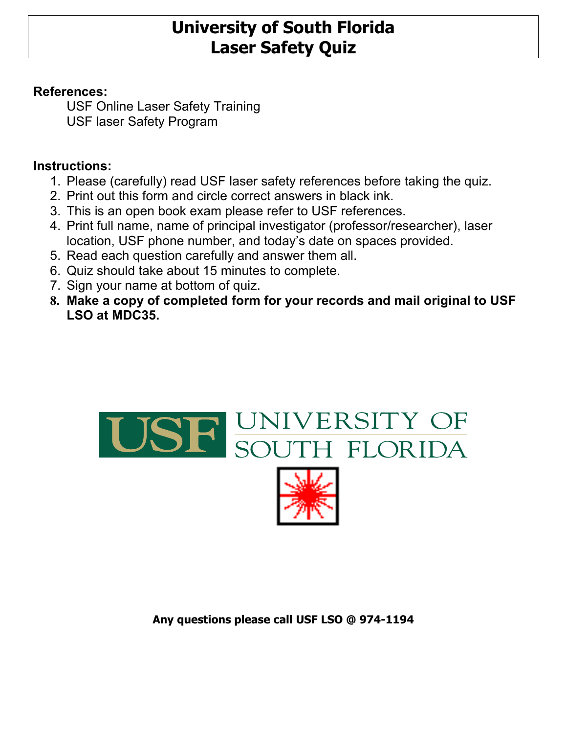# **University of South Florida Laser Safety Quiz**

## **References:**

USF Online Laser Safety Training USF laser Safety Program

## **Instructions:**

- 1. Please (carefully) read USF laser safety references before taking the quiz.
- 2. Print out this form and circle correct answers in black ink.
- 3. This is an open book exam please refer to USF references.
- 4. Print full name, name of principal investigator (professor/researcher), laser location, USF phone number, and today's date on spaces provided.
- 5. Read each question carefully and answer them all.
- 6. Quiz should take about 15 minutes to complete.
- 7. Sign your name at bottom of quiz.
- **8. Make a copy of completed form for your records and mail original to USF LSO at MDC35.**



### **Any questions please call USF LSO @ 974-1194**